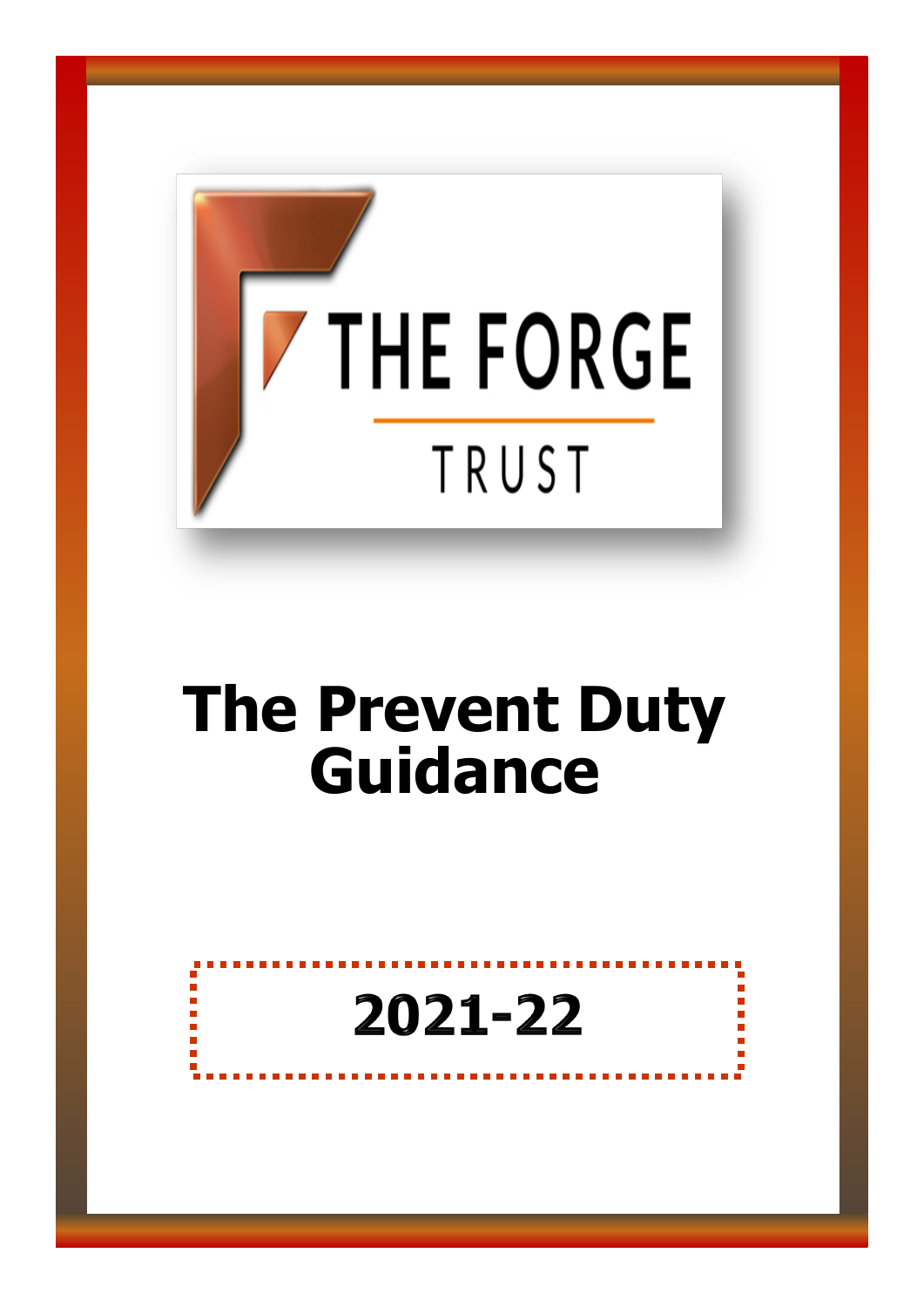

# **The Prevent Duty Guidance**

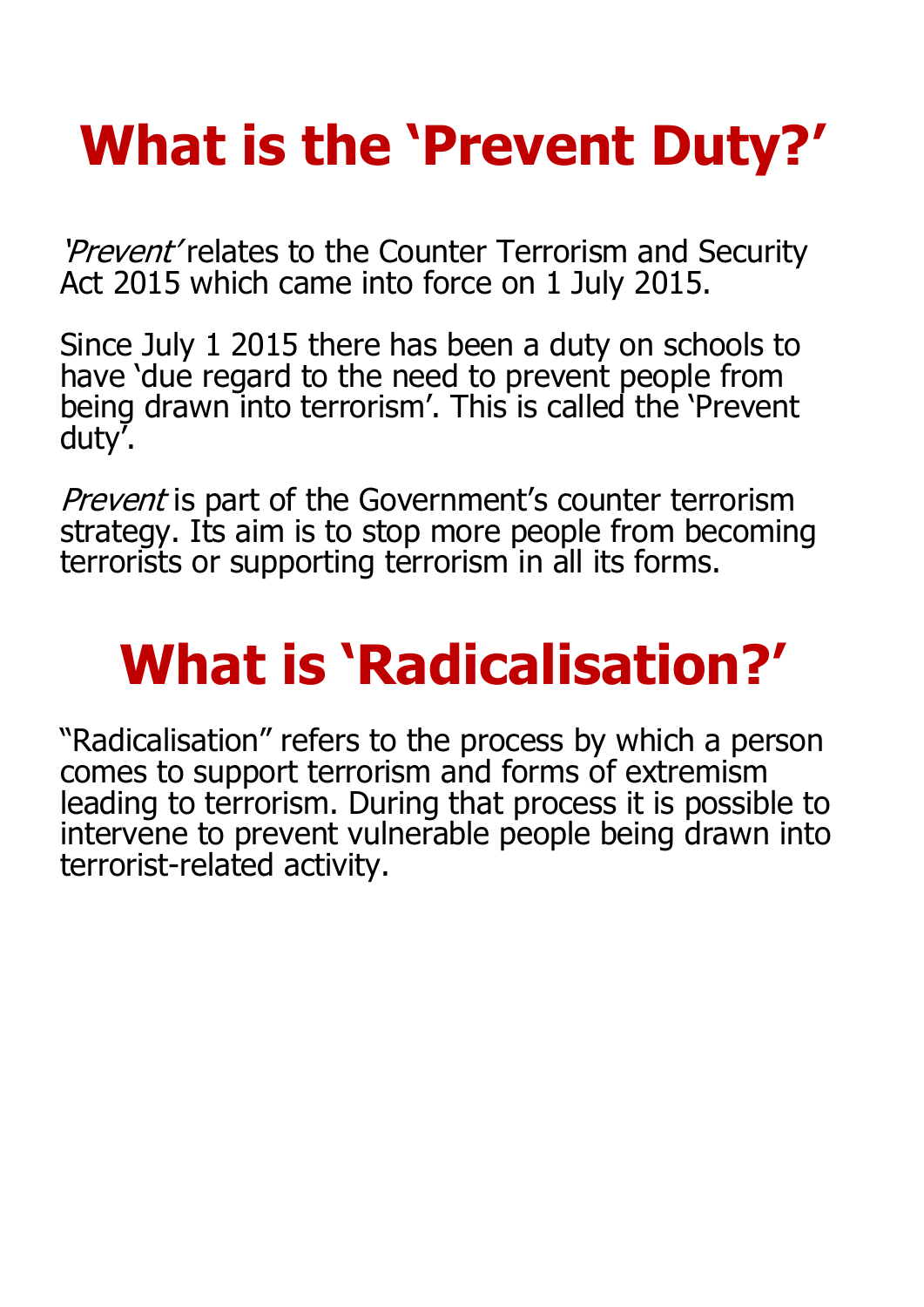# **What is the 'Prevent Duty?'**

'Prevent' relates to the Counter Terrorism and Security Act 2015 which came into force on 1 July 2015.

Since July 1 2015 there has been a duty on schools to have 'due regard to the need to prevent people from being drawn into terrorism'. This is called the 'Prevent duty'.

Prevent is part of the Government's counter terrorism strategy. Its aim is to stop more people from becoming terrorists or supporting terrorism in all its forms.

# **What is 'Radicalisation?'**

"Radicalisation" refers to the process by which a person comes to support terrorism and forms of extremism leading to terrorism. During that process it is possible to intervene to prevent vulnerable people being drawn into terrorist-related activity.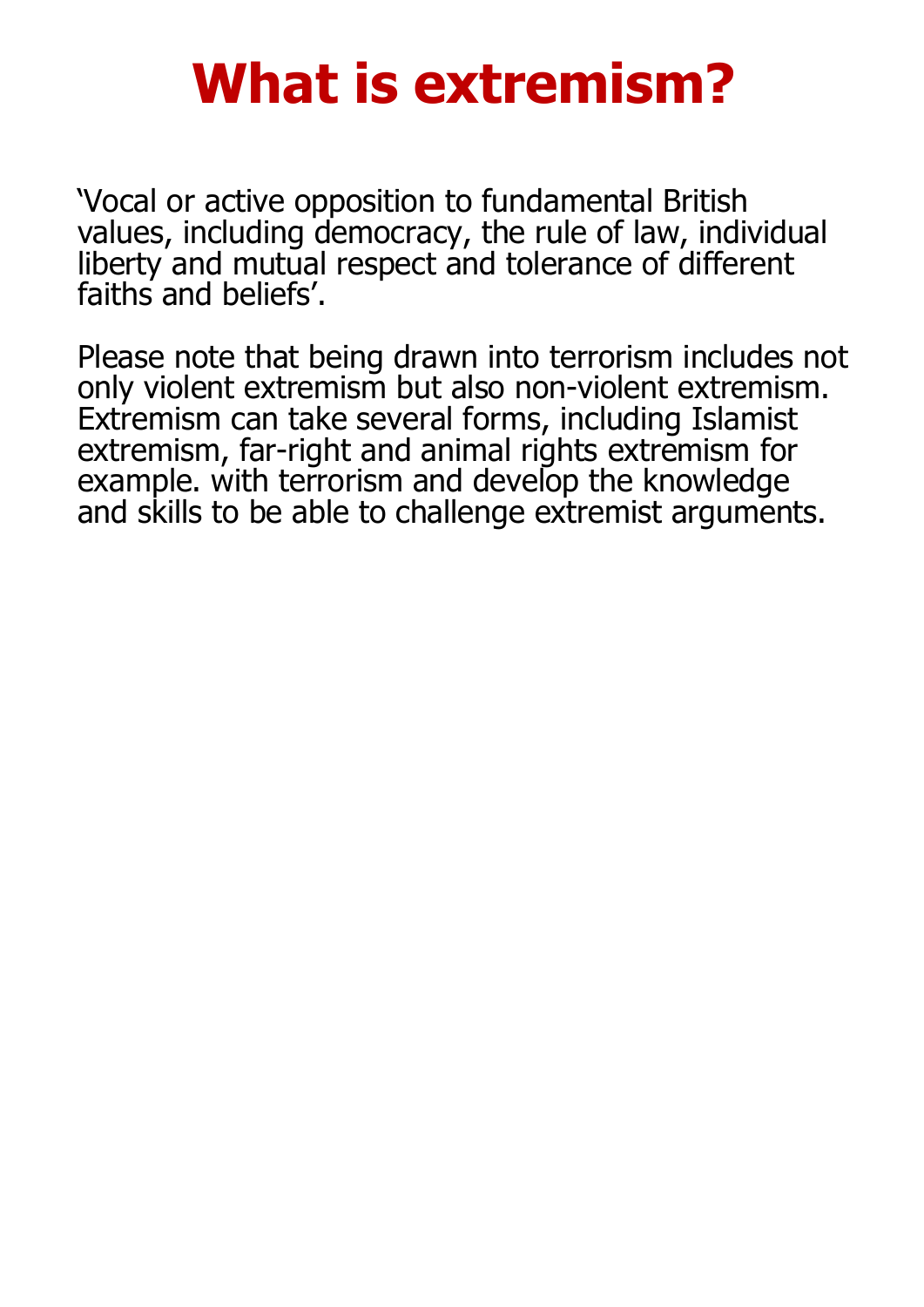## **What is extremism?**

'Vocal or active opposition to fundamental British values, including democracy, the rule of law, individual liberty and mutual respect and tolerance of different faiths and beliefs'.

Please note that being drawn into terrorism includes not only violent extremism but also non-violent extremism. Extremism can take several forms, including Islamist extremism, far-right and animal rights extremism for example. with terrorism and develop the knowledge and skills to be able to challenge extremist arguments.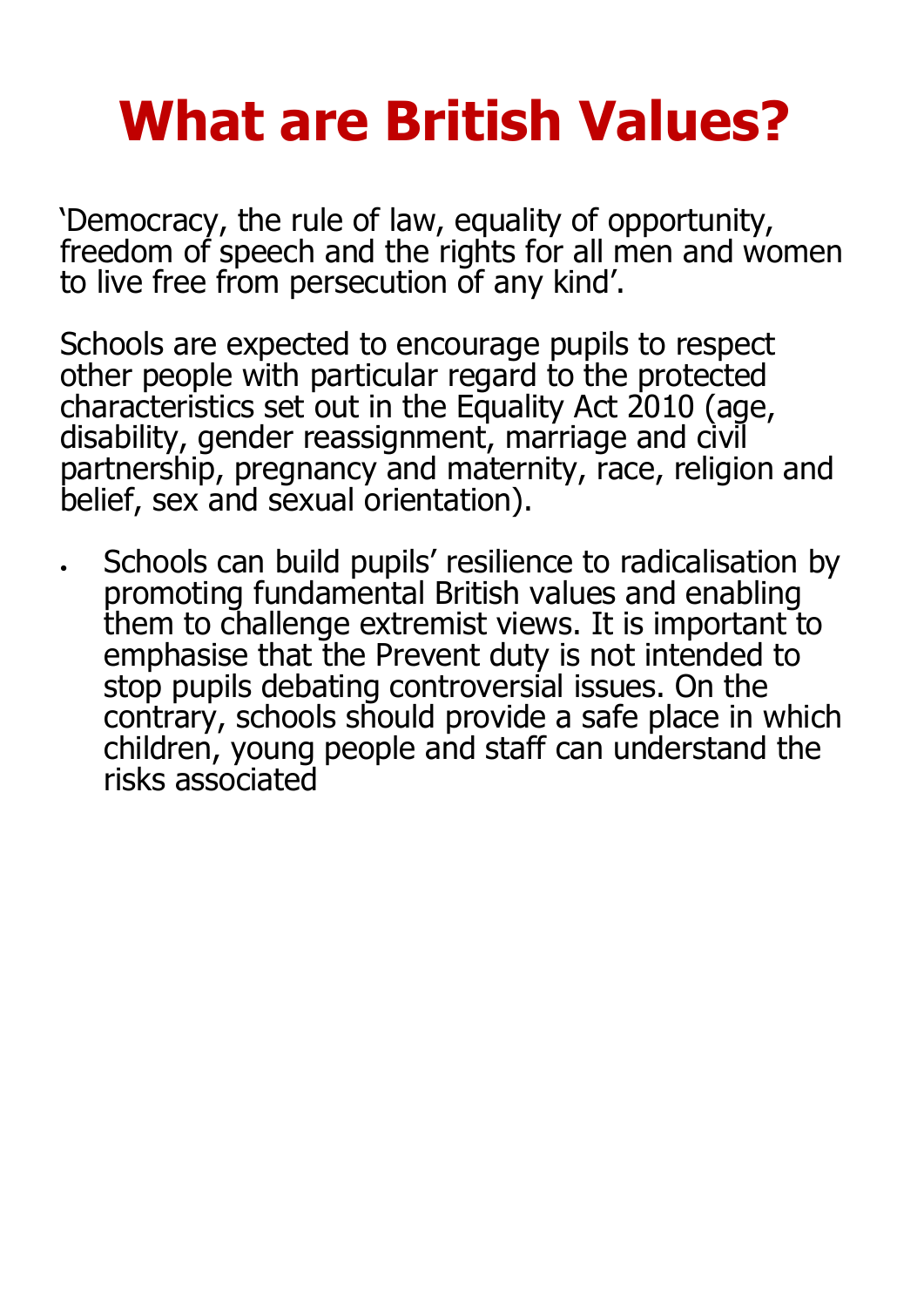# **What are British Values?**

'Democracy, the rule of law, equality of opportunity, freedom of speech and the rights for all men and women to live free from persecution of any kind'.

Schools are expected to encourage pupils to respect other people with particular regard to the protected characteristics set out in the Equality Act 2010 (age, disability, gender reassignment, marriage and civil partnership, pregnancy and maternity, race, religion and belief, sex and sexual orientation).

 Schools can build pupils' resilience to radicalisation by promoting fundamental British values and enabling them to challenge extremist views. It is important to emphasise that the Prevent duty is not intended to stop pupils debating controversial issues. On the contrary, schools should provide a safe place in which children, young people and staff can understand the risks associated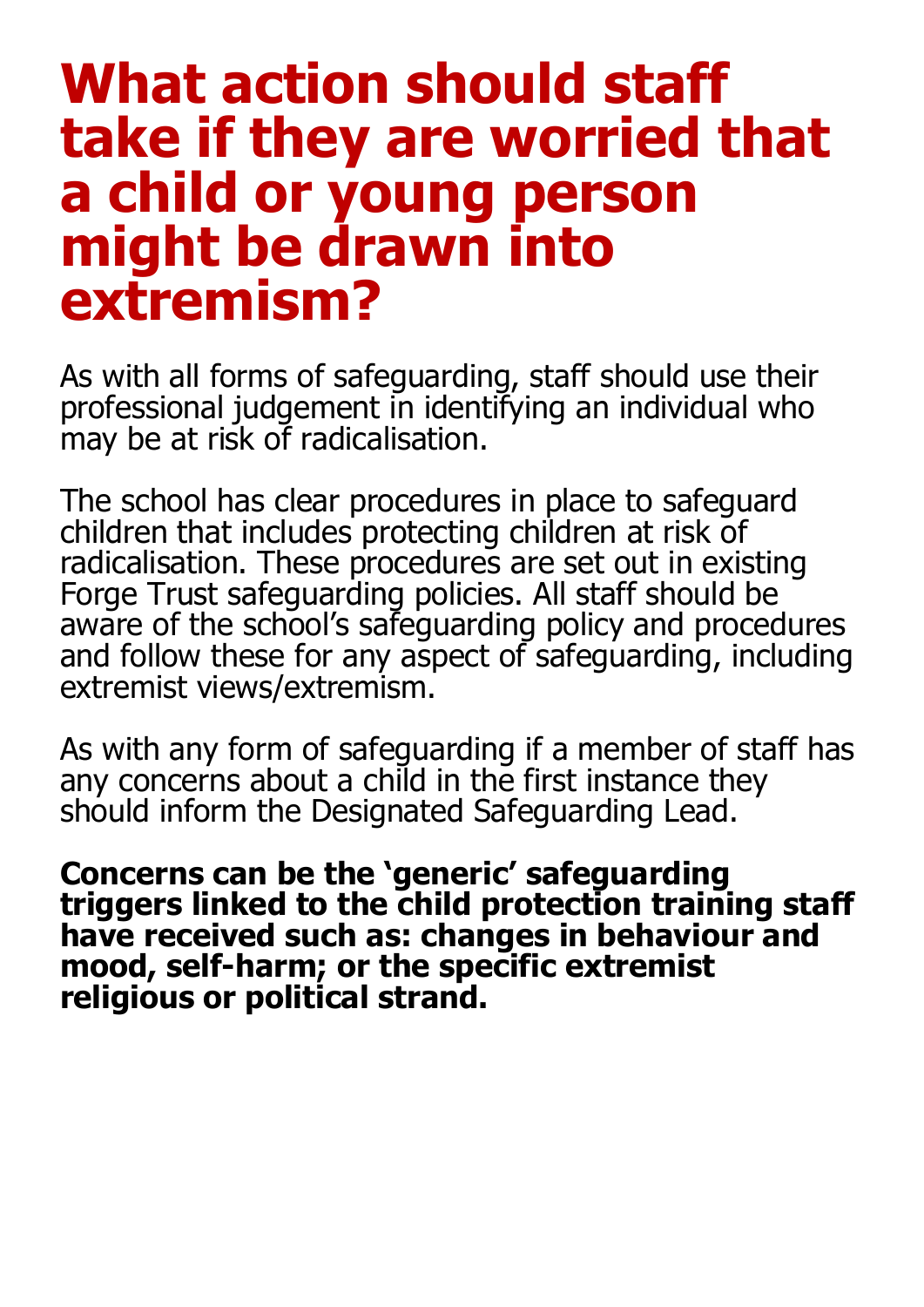### **What action should staff take if they are worried that a child or young person might be drawn into extremism?**

As with all forms of safeguarding, staff should use their professional judgement in identifying an individual who may be at risk of radicalisation.

The school has clear procedures in place to safeguard children that includes protecting children at risk of radicalisation. These procedures are set out in existing Forge Trust safeguarding policies. All staff should be aware of the school's safeguarding policy and procedures and follow these for any aspect of safeguarding, including extremist views/extremism.

As with any form of safeguarding if a member of staff has any concerns about a child in the first instance they should inform the Designated Safeguarding Lead.

**Concerns can be the 'generic' safeguarding triggers linked to the child protection training staff have received such as: changes in behaviour and mood, self-harm; or the specific extremist religious or political strand.**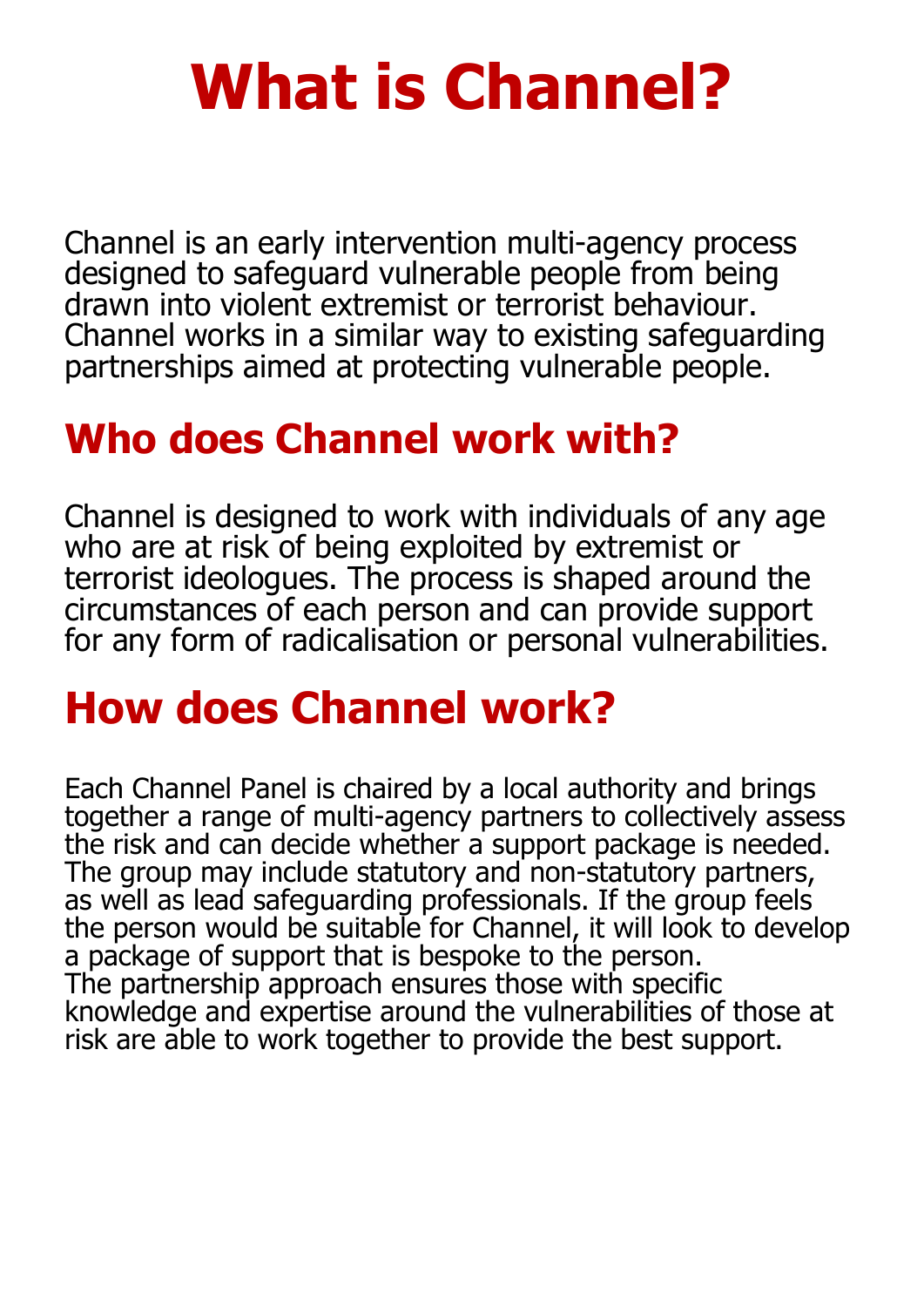# **What is Channel?**

Channel is an early intervention multi-agency process designed to safeguard vulnerable people from being drawn into violent extremist or terrorist behaviour. Channel works in a similar way to existing safeguarding partnerships aimed at protecting vulnerable people.

#### **Who does Channel work with?**

Channel is designed to work with individuals of any age who are at risk of being exploited by extremist or terrorist ideologues. The process is shaped around the circumstances of each person and can provide support for any form of radicalisation or personal vulnerabilities.

### **How does Channel work?**

Each Channel Panel is chaired by a local authority and brings together a range of multi-agency partners to collectively assess the risk and can decide whether a support package is needed. The group may include statutory and non-statutory partners, as well as lead safeguarding professionals. If the group feels the person would be suitable for Channel, it will look to develop a package of support that is bespoke to the person. The partnership approach ensures those with specific knowledge and expertise around the vulnerabilities of those at risk are able to work together to provide the best support.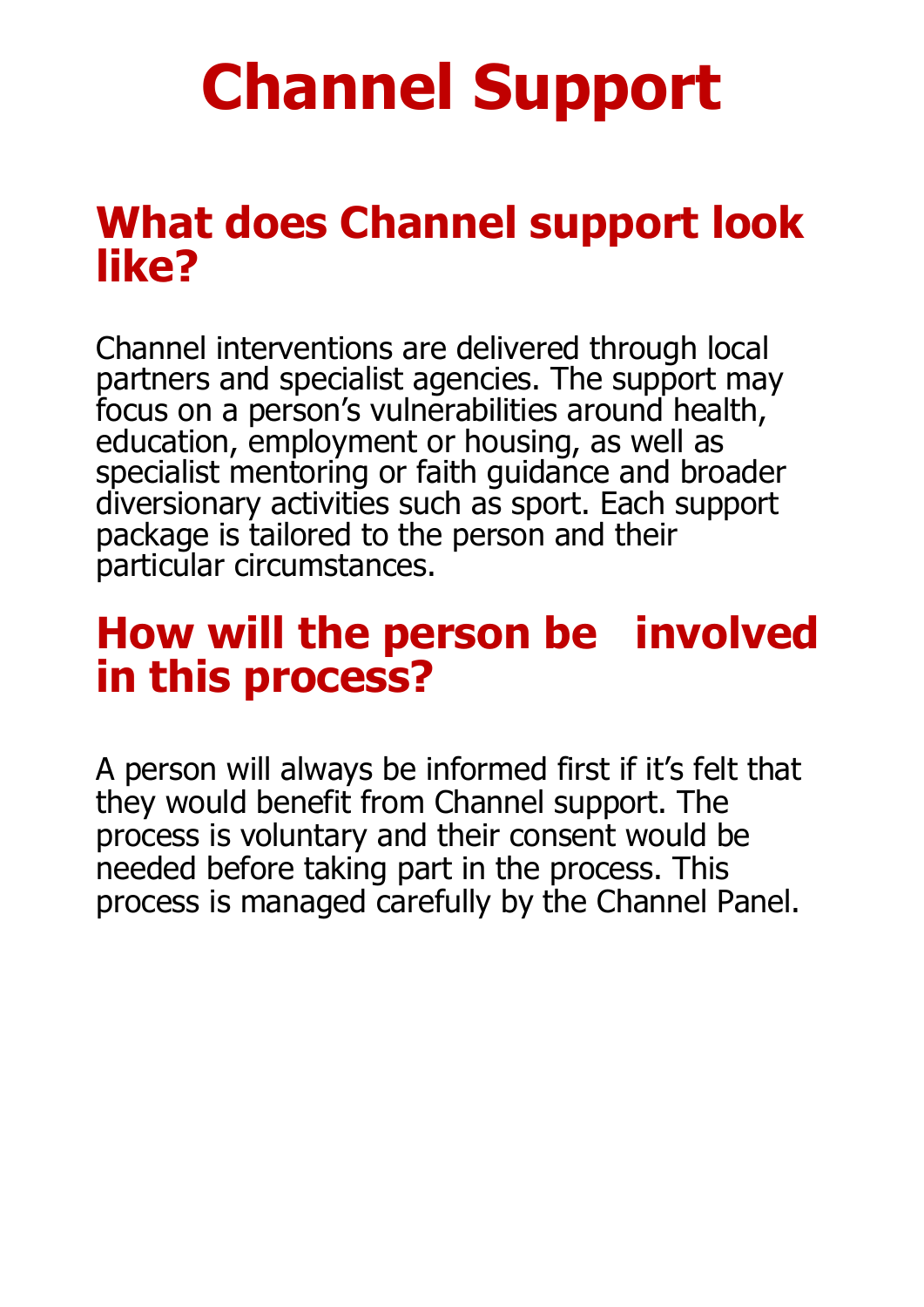# **Channel Support**

#### **What does Channel support look like?**

Channel interventions are delivered through local partners and specialist agencies. The support may focus on a person's vulnerabilities around health, education, employment or housing, as well as specialist mentoring or faith guidance and broader diversionary activities such as sport. Each support package is tailored to the person and their particular circumstances.

#### **How will the person be involved in this process?**

A person will always be informed first if it's felt that they would benefit from Channel support. The process is voluntary and their consent would be needed before taking part in the process. This process is managed carefully by the Channel Panel.